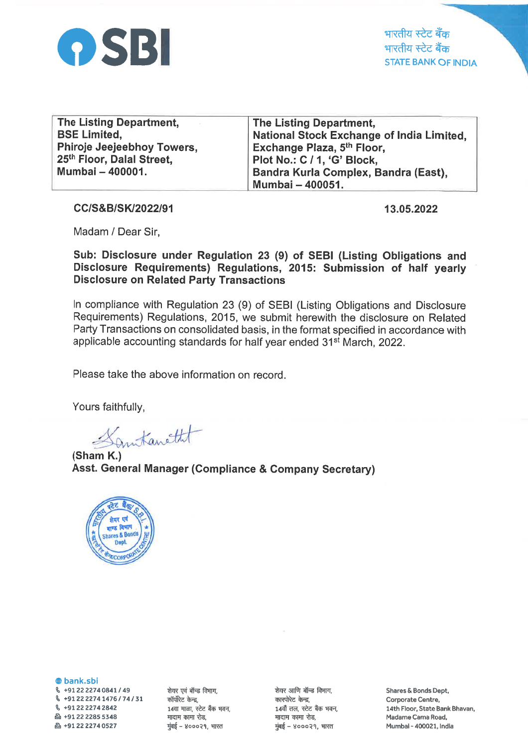

भारतीय स्टेट बँक भारतीय स्टेट बैंक STATE BANK OF INDIA

| The Listing Department,    | The Listing Department,                   |
|----------------------------|-------------------------------------------|
| <b>BSE Limited.</b>        | National Stock Exchange of India Limited, |
| Phiroje Jeejeebhoy Towers, | Exchange Plaza, 5 <sup>th</sup> Floor,    |
| 25th Floor, Dalal Street,  | Plot No.: C / 1, 'G' Block,               |
| Mumbai - 400001.           | Bandra Kurla Complex, Bandra (East),      |
|                            | Mumbai - 400051.                          |

cc/s&B/sK/2022/91 13.05.2022

Madam / Dear Sir,

Sub: Disclosure under Regulation 23 (9) of SEBI (Listing Obligations and Disclosure Requirements) Regulations, 2015: Submission of half yearly Disclosure on Related Party Transactions

ln compliance with Regulation 23 (9) of SEBI (Listing Obligations and Disclosure Requirements) Regulations, 2015, we submit herewith the disclosure on Related Party Transactions on consolidated basis, in the format specified in accordance with applicable accounting standards for half year ended 31<sup>st</sup> March, 2022.

Please take the above information on record.

Yours faithfully,

amtanetht

(Sham K.) Asst. General Manager (Compliance & Gompany Secretary)



@ bank.sbi  $\,$  +91 22 2274 0841 / 49  $$+912222741476/74/31$ \, +912222742842 A +91 22 2285 5348  $\text{B}$  +91 22 2274 0527

शेयर एवं बॉन्ड विभाग,<br>कॉर्पोरेट केन्द्र. 14वा माळा, स्टेट बैंक भवन, मादाम कामा रोड, मुंबई - ४०००२१, भारत

शेयर आणि बॉन्ड विभाग. कारपोरेट केन्द्र, 14वाँ तल, स्टेट बैंक भवन, मादाम कामा रोड, मुंबई - ४०००२१, भारत

Shares & Bonds Dept, Corporate Centre, 14th Floor, State Bank Bhavan, Madame Cama Road, Mumbai - 400021, India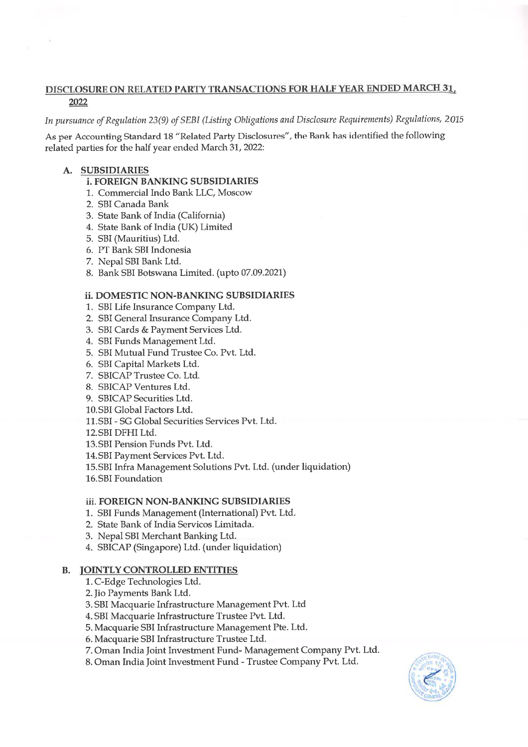## DISCLOSURE ON RELATED PARTY TRANSACTIONS FOR HALF YEAR ENDED MARCH 31.. 2022

In pursuance of Regulation 23(9) of SEBI (Listing Obligations and Disclosure Requirements) Regulations, 2015

As per Accounting Standard 18 "Related Party Disclosures", the Bank has identified the following related parties for the half year ended March 31, 2022:

## A. SUBSIDIARIES

## i. FOREIGN BANKING SUBSIDIARIES

- 1. Commercial Indo Bank LLC, Moscow
- 2. SBI Canada Bank
- 3. State Bank of India (California)
- 4. State Bank of India (UK) Limited
- 5. SBI (Mauritius) Ltd.
- 6. PT Bank SBI Indonesia
- 7. Nepal SBI Bank Ltd.
- 8. Bank SBI Botswana Limited. (upto07.09.2021)

#### ii. DOMESTIC NON-BANKING SUBSIDIARIES

- 1. SBI Life Insurance Company Ltd.
- 2. SBI General lnsurance Company Ltd.
- 3. SBI Cards & Payment Services Ltd.
- 4. SBI Funds Management Ltd.
- 5. SBI Mutual Fund Trustee Co. Pvt. Ltd.
- 6. SBI Capital Markets Ltd.
- 7. SBICAP Trustee Co. Ltd.
- 8. SBICAP Ventures Ltd.
- 9. SBICAP Securities Ltd.
- 10.SBI Global Factors Ltd.
- 11.SBI SG Global Securities Services Pvt. Ltd.
- 12.SBI DFHI Ltd.
- 13.SBI Pension Funds Pvt. Ltd.
- 14.SBI Payment Services Pvt. Ltd.
- 15.SBI Infra Management Solutions Pvt. Ltd. (under liquidation)
- 16.SBI Foundation

## iii. FOREIGN NON-BANKING SUBSIDIARIES

- 1. SBI Funds Management (International) Pvt. Ltd.
- 2. State Bank of India Servicos Limitada
- 3. Nepal SBI Merchant Banking Ltd.
- SBICAP (Singapore) Ltd. (under liquidation) 4.

## B. TOINTLY CONTROLLED ENTITIES

- 1. C-Edge Technologies Ltd.
- 2.Jio Payments Bank Ltd.
- 3. SBI Macquarie Infrastructure Management Pvt. Ltd
- 4. SBI Macquarie Infrastructure Trustee Pvt. Ltd.
- 5. Macquarie SBI Infrastructure Management Pte. Ltd.
- 6. Macquarie SBI Infrastructure Trustee Ltd.
- 7. Oman India Joint Investment Fund- Management Company Pvt. Ltd.
- 8. Oman India Joint Investrnent Fund Trustee Company Pvt. Ltd.

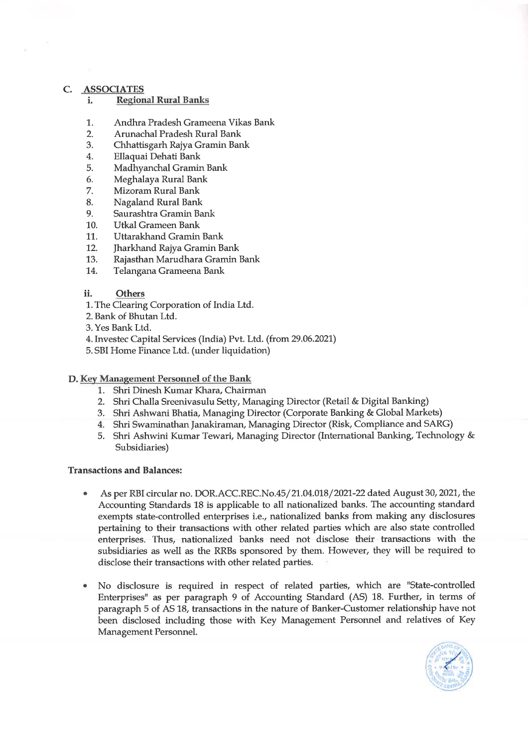#### c. ASSOCIATES

- i. Regional Rural Banks
- 1,. Andhra Pradesh Grameena Vikas Bank 2. Arunachal Pradesh Rural Bank
- 
- 3. Chhattisgarh Rajya Gramin Bank 4. Ellaquai Dehati Bank
- 
- 5. Madhyanchal Gramin Bank
- 6. Meghalaya Rural Bank
- 7. Mizoram Rural Bank
- 8. Nagaland Rural Bank
- 9. Saurashtra Gramin Bank
- 10. Utkal Grameen Bank
- 
- 11,. Uttarakhand Gramin Bank 12. Jharkhand Rajya Gramin Bank
- 13. Rajasthan Marudhara Gramin Bank L4. Telangana Grameena Bank
- 

#### ii. Others

- 1. The Clearing Corporation of lrdia Ltd.
- 2. Bank of Bhutan Ltd.
- 3. Yes Bank Ltd.
- 4.Investec Capital Services (India) Pvt. Ltd. (from29.06.2021)
- 5. SBI Home Finance Ltd. (under liquidation)

# D. Key Management Personnel of the Bank<br>1. Shri Dinesh Kumar Khara, Chairman

- 
- 2. Shri Challa Sreenivasulu Setty, Managing Director (Retail & Digital Banking)
- 3. Shri Ashwani Bhatia, Managing Director (Corporate Banking & Global Markets)<br>4. Shri Swaminathan Janakiraman, Managing Director (Risk, Compliance and SARG)
- 
- 5. Shri Ashwini Kumar Tewari, Managing Director (International Banking, Technology & Subsidiaries)

#### Transactions and Balances:

- As per RBI circular no. DOR.ACC.REC.No.45/21.04.018/2021-22 dated August 30, 2021, the Accounting Standards 18 is applicable to all nationalized banks. The accounting standard exempts state-controlled enterprises i.e., nationalized banks from making any disclosures pertaining to their transactions with other related parties which are also state controlled enterprises. Thus, nationalized banks need not disclose their transactions with the subsidiaries as well as the RRBs sponsored by them. However, they will be required to disclose their transactions with other related parties. a
- No disclosure is required in respect of related parties, which are "State-controlled Enterprises" as per paragraph 9 of Accounting Standard (AS) 18. Further, in terms of paragraph 5 of AS 18, transactions in the nature of Banker-Customer relationship have not been disclosed including those with Key Management Personnel and relatives of Key Management Personnel. a

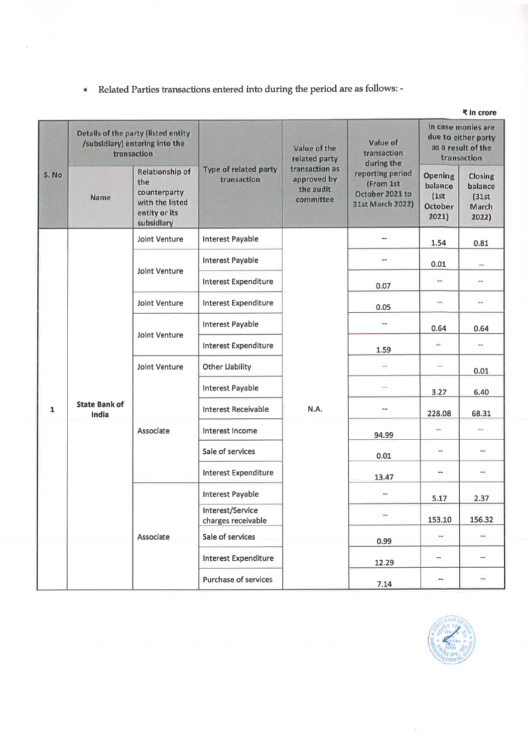<sup>a</sup> Related Parties transactions entered into during the period are as follows: -

|              | ₹ in crore                                                                           |                                                                                          |                                        |                                                          |                                                                      |                                                                                |                                                |
|--------------|--------------------------------------------------------------------------------------|------------------------------------------------------------------------------------------|----------------------------------------|----------------------------------------------------------|----------------------------------------------------------------------|--------------------------------------------------------------------------------|------------------------------------------------|
| S. No        | Details of the party (listed entity<br>/subsidiary) entering into the<br>transaction |                                                                                          |                                        | Value of the<br>related party                            | Value of<br>transaction<br>during the                                | In case monies are<br>due to either party<br>as a result of the<br>transaction |                                                |
|              | Name                                                                                 | Relationship of<br>the<br>counterparty<br>with the listed<br>entity or its<br>subsidiary | Type of related party<br>transaction   | transaction as<br>approved by<br>the audit.<br>committee | reporting period<br>(From 1st<br>October 2021 to<br>31st March 2022) | Opening<br>balance<br>(1st)<br>October<br>2021)                                | Closing<br>balance<br>(31st)<br>March<br>2022) |
|              |                                                                                      | Joint Venture                                                                            | <b>Interest Payable</b>                |                                                          | --                                                                   | 1.54                                                                           | 0.81                                           |
|              |                                                                                      | Joint Venture                                                                            | <b>Interest Payable</b>                |                                                          | $-$                                                                  | 0.01                                                                           | $\rightarrow$                                  |
|              |                                                                                      |                                                                                          | <b>Interest Expenditure</b>            |                                                          | 0.07                                                                 | $\cdots$                                                                       | m.                                             |
|              |                                                                                      | <b>Joint Venture</b>                                                                     | Interest Expenditure                   |                                                          | 0.05                                                                 | ΞĦ.                                                                            | $\rightarrow$                                  |
|              |                                                                                      | Joint Venture                                                                            | Interest Payable                       |                                                          | --                                                                   | 0.64                                                                           | 0.64                                           |
|              |                                                                                      |                                                                                          | Interest Expenditure                   |                                                          | 1.59                                                                 | ù.                                                                             | $\overline{\phantom{a}}$                       |
|              |                                                                                      | Joint Venture                                                                            | <b>Other Liability</b>                 |                                                          | $\ldots$                                                             | $\overline{a}$                                                                 | 0.01                                           |
|              |                                                                                      |                                                                                          | <b>Interest Payable</b>                |                                                          | ÷                                                                    | 3.27                                                                           | 6.40                                           |
| $\mathbf{1}$ | <b>State Bank of</b><br>India                                                        |                                                                                          | <b>Interest Receivable</b>             | N.A.                                                     | --                                                                   | 228.08                                                                         | 68.31                                          |
|              |                                                                                      | Associate                                                                                | Interest Income                        |                                                          | 94.99                                                                | $\rightarrow$                                                                  | ÷                                              |
|              |                                                                                      |                                                                                          | Sale of services                       |                                                          | 0.01                                                                 | $\longrightarrow$                                                              | $\overline{\phantom{a}}$                       |
|              |                                                                                      |                                                                                          | <b>Interest Expenditure</b>            |                                                          | 13.47                                                                | --                                                                             | m.                                             |
|              |                                                                                      | Associate                                                                                | <b>Interest Payable</b>                |                                                          | $\cdots$                                                             | 5.17                                                                           | 2.37                                           |
|              |                                                                                      |                                                                                          | Interest/Service<br>charges receivable |                                                          | $\frac{1}{2}$                                                        | 153.10                                                                         | 156.32                                         |
|              |                                                                                      |                                                                                          | Sale of services                       |                                                          | 0.99                                                                 | ÷                                                                              | um:                                            |
|              |                                                                                      |                                                                                          | <b>Interest Expenditure</b>            |                                                          | 12.29                                                                | $\blacksquare$                                                                 | $\cdots$                                       |
|              |                                                                                      |                                                                                          | Purchase of services                   |                                                          | 7.14                                                                 | --                                                                             | $\overline{\phantom{a}}$                       |

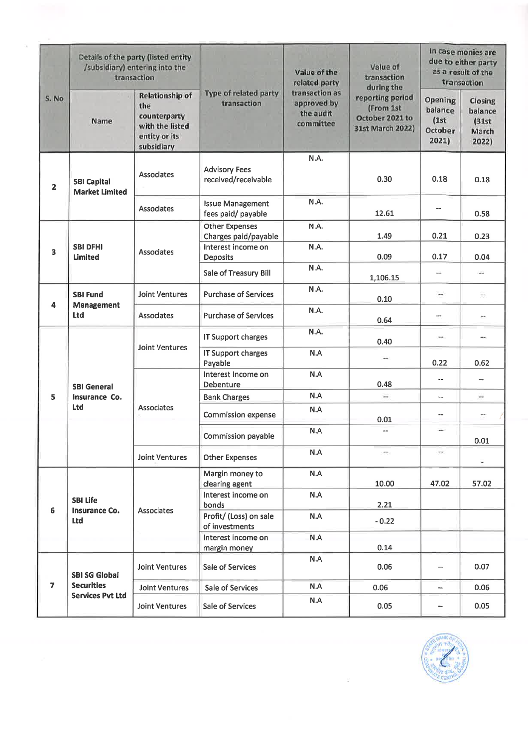| S. No                   | Details of the party (listed entity<br>/subsidiary) entering into the<br>transaction |                                                                                                 |                                               | Value of the<br>related party                           | Value of<br>transaction<br>during the                                | In case monies are<br>due to either party<br>as a result of the<br>transaction |                                                |
|-------------------------|--------------------------------------------------------------------------------------|-------------------------------------------------------------------------------------------------|-----------------------------------------------|---------------------------------------------------------|----------------------------------------------------------------------|--------------------------------------------------------------------------------|------------------------------------------------|
|                         | Name                                                                                 | <b>Relationship of</b><br>the<br>counterparty<br>with the listed<br>entity or its<br>subsidiary | Type of related party<br>transaction          | transaction as<br>approved by<br>the audit<br>committee | reporting period<br>(From 1st<br>October 2021 to<br>31st March 2022) | Opening<br>balance<br>(1st)<br><b>October</b><br>2021)                         | Closing<br>balance<br>(31st)<br>March<br>2022) |
| $\mathbf{2}$            | <b>SBI Capital</b><br><b>Market Limited</b>                                          | Associates                                                                                      | <b>Advisory Fees</b><br>received/receivable   | N.A.                                                    | 0.30                                                                 | 0.18                                                                           | 0.18                                           |
|                         |                                                                                      | <b>Associates</b>                                                                               | <b>Issue Management</b><br>fees paid/ payable | N.A.                                                    | 12.61                                                                |                                                                                | 0.58                                           |
|                         | <b>SBI DFHI</b><br>Limited                                                           | <b>Associates</b>                                                                               | <b>Other Expenses</b><br>Charges paid/payable | N.A.                                                    | 1.49                                                                 | 0.21                                                                           | 0.23                                           |
| 3                       |                                                                                      |                                                                                                 | Interest income on<br>Deposits                | N.A.                                                    | 0.09                                                                 | 0.17                                                                           | 0.04                                           |
|                         |                                                                                      |                                                                                                 | Sale of Treasury Bill                         | N.A.                                                    | 1,106.15                                                             | min.                                                                           | $\sim$                                         |
| 4                       | <b>SBI Fund</b><br>Management<br><b>Ltd</b>                                          | <b>Joint Ventures</b>                                                                           | <b>Purchase of Services</b>                   | N.A.                                                    | 0.10                                                                 | $\frac{1}{2}$                                                                  | $\overline{a}$                                 |
|                         |                                                                                      | Associates                                                                                      | <b>Purchase of Services</b>                   | N.A.                                                    | 0.64                                                                 | ÷                                                                              | $\overline{\phantom{a}}$                       |
|                         | <b>SBI General</b><br>Insurance Co.<br><b>Ltd</b>                                    | <b>Joint Ventures</b>                                                                           | IT Support charges                            | N.A.                                                    | 0.40                                                                 | $\sim$                                                                         | mi.                                            |
|                         |                                                                                      |                                                                                                 | <b>IT Support charges</b><br>Payable          | N.A                                                     | щL,                                                                  | 0.22                                                                           | 0.62                                           |
|                         |                                                                                      | <b>Associates</b>                                                                               | Interest Income on<br><b>Debenture</b>        | N.A                                                     | 0.48                                                                 | $\overline{a}$                                                                 | $\overline{\phantom{a}}$                       |
| 5                       |                                                                                      |                                                                                                 | <b>Bank Charges</b>                           | N.A                                                     | $\overbrace{\qquad \qquad }^{}$                                      | $\overline{\phantom{a}}$                                                       | $\overline{\phantom{a}}$                       |
|                         |                                                                                      |                                                                                                 | <b>Commission expense</b>                     | N.A                                                     | 0.01                                                                 | --                                                                             |                                                |
|                         |                                                                                      |                                                                                                 | <b>Commission payable</b>                     | N.A                                                     | --                                                                   | $\cdots$                                                                       | 0.01                                           |
|                         |                                                                                      | <b>Joint Ventures</b>                                                                           | <b>Other Expenses</b>                         | N.A                                                     | m.                                                                   | $\overline{\phantom{a}}$                                                       | $\overline{a}$                                 |
| 6                       | <b>SBI Life</b><br><b>Insurance Co.</b><br><b>Ltd</b>                                | <b>Associates</b>                                                                               | Margin money to<br>clearing agent             | N.A                                                     | 10.00                                                                | 47.02                                                                          | 57.02                                          |
|                         |                                                                                      |                                                                                                 | Interest income on<br>bonds                   | N.A                                                     | 2.21                                                                 |                                                                                |                                                |
|                         |                                                                                      |                                                                                                 | Profit/ (Loss) on sale<br>of investments      | N.A                                                     | $-0.22$                                                              |                                                                                |                                                |
|                         |                                                                                      |                                                                                                 | Interest income on<br>margin money            | N.A                                                     | 0.14                                                                 |                                                                                |                                                |
| $\overline{\mathbf{z}}$ | <b>SBI SG Global</b><br><b>Securities</b><br><b>Services Pvt Ltd</b>                 | <b>Joint Ventures</b>                                                                           | Sale of Services                              | N.A                                                     | 0.06                                                                 | --                                                                             | 0.07                                           |
|                         |                                                                                      | <b>Joint Ventures</b>                                                                           | Sale of Services                              | N.A                                                     | 0.06                                                                 | --                                                                             | 0.06                                           |
|                         |                                                                                      | <b>Joint Ventures</b>                                                                           | Sale of Services                              | N.A                                                     | 0.05                                                                 | --                                                                             | 0.05                                           |